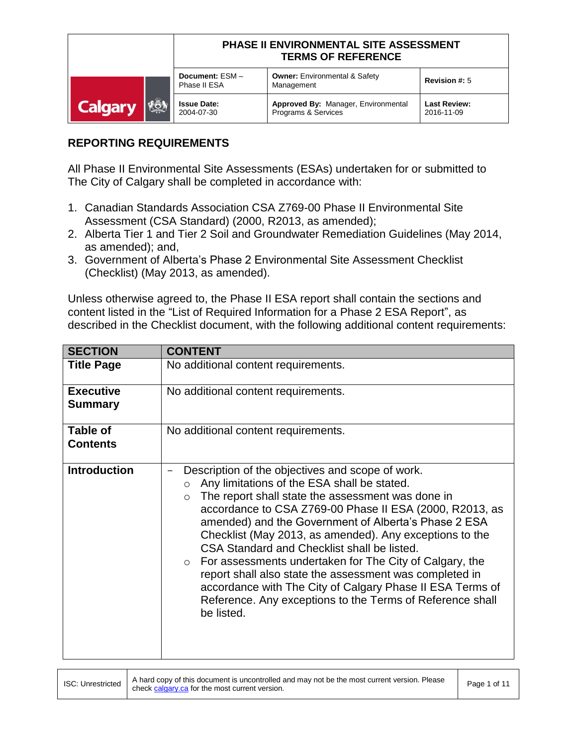|                       | PHASE II ENVIRONMENTAL SITE ASSESSMENT<br><b>TERMS OF REFERENCE</b> |                                                            |                                   |
|-----------------------|---------------------------------------------------------------------|------------------------------------------------------------|-----------------------------------|
|                       | Document: ESM-<br>Phase II ESA                                      | <b>Owner: Environmental &amp; Safety</b><br>Management     | Revision #: 5                     |
| KÖN<br><b>Calgary</b> | <b>Issue Date:</b><br>2004-07-30                                    | Approved By: Manager, Environmental<br>Programs & Services | <b>Last Review:</b><br>2016-11-09 |

## **REPORTING REQUIREMENTS**

All Phase II Environmental Site Assessments (ESAs) undertaken for or submitted to The City of Calgary shall be completed in accordance with:

- 1. Canadian Standards Association CSA Z769-00 Phase II Environmental Site Assessment (CSA Standard) (2000, R2013, as amended);
- 2. Alberta Tier 1 and Tier 2 Soil and Groundwater Remediation Guidelines (May 2014, as amended); and,
- 3. Government of Alberta's Phase 2 Environmental Site Assessment Checklist (Checklist) (May 2013, as amended).

Unless otherwise agreed to, the Phase II ESA report shall contain the sections and content listed in the "List of Required Information for a Phase 2 ESA Report", as described in the Checklist document, with the following additional content requirements:

| <b>SECTION</b>                     | <b>CONTENT</b>                                                                                                                                                                                                                                                                                                                                                                                                                                                                                                                                                                                                                                                                |
|------------------------------------|-------------------------------------------------------------------------------------------------------------------------------------------------------------------------------------------------------------------------------------------------------------------------------------------------------------------------------------------------------------------------------------------------------------------------------------------------------------------------------------------------------------------------------------------------------------------------------------------------------------------------------------------------------------------------------|
| <b>Title Page</b>                  | No additional content requirements.                                                                                                                                                                                                                                                                                                                                                                                                                                                                                                                                                                                                                                           |
| <b>Executive</b><br><b>Summary</b> | No additional content requirements.                                                                                                                                                                                                                                                                                                                                                                                                                                                                                                                                                                                                                                           |
| Table of<br><b>Contents</b>        | No additional content requirements.                                                                                                                                                                                                                                                                                                                                                                                                                                                                                                                                                                                                                                           |
| <b>Introduction</b>                | Description of the objectives and scope of work.<br>Any limitations of the ESA shall be stated.<br>$\circ$<br>The report shall state the assessment was done in<br>$\circ$<br>accordance to CSA Z769-00 Phase II ESA (2000, R2013, as<br>amended) and the Government of Alberta's Phase 2 ESA<br>Checklist (May 2013, as amended). Any exceptions to the<br>CSA Standard and Checklist shall be listed.<br>$\circ$ For assessments undertaken for The City of Calgary, the<br>report shall also state the assessment was completed in<br>accordance with The City of Calgary Phase II ESA Terms of<br>Reference. Any exceptions to the Terms of Reference shall<br>be listed. |

ISC: Unrestricted A hard copy of this document is uncontrolled and may not be the most current version. Please A hard copy of this document is uncontrolled and may not be the most current version. Please Page 1 of 11<br>check calgary.ca for the most current version.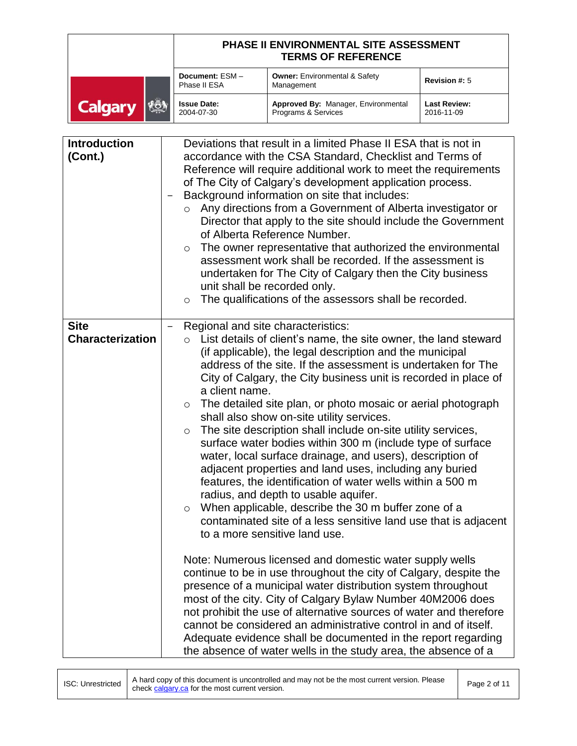|                       | PHASE II ENVIRONMENTAL SITE ASSESSMENT<br><b>TERMS OF REFERENCE</b> |                                                            |                                   |
|-----------------------|---------------------------------------------------------------------|------------------------------------------------------------|-----------------------------------|
|                       | Document: ESM-<br>Phase II ESA                                      | <b>Owner: Environmental &amp; Safety</b><br>Management     | <b>Revision #: 5</b>              |
| VOI<br><b>Calgary</b> | <b>Issue Date:</b><br>2004-07-30                                    | Approved By: Manager, Environmental<br>Programs & Services | <b>Last Review:</b><br>2016-11-09 |

| <b>Introduction</b><br>(Cont.)         | Deviations that result in a limited Phase II ESA that is not in<br>accordance with the CSA Standard, Checklist and Terms of<br>Reference will require additional work to meet the requirements<br>of The City of Calgary's development application process.<br>Background information on site that includes:<br>$\qquad \qquad =$<br>Any directions from a Government of Alberta investigator or<br>$\circ$<br>Director that apply to the site should include the Government<br>of Alberta Reference Number.<br>The owner representative that authorized the environmental<br>$\circ$<br>assessment work shall be recorded. If the assessment is<br>undertaken for The City of Calgary then the City business<br>unit shall be recorded only.<br>The qualifications of the assessors shall be recorded.<br>$\circ$                                                                                                                                                                                                                                                                                                                                                                                  |
|----------------------------------------|-----------------------------------------------------------------------------------------------------------------------------------------------------------------------------------------------------------------------------------------------------------------------------------------------------------------------------------------------------------------------------------------------------------------------------------------------------------------------------------------------------------------------------------------------------------------------------------------------------------------------------------------------------------------------------------------------------------------------------------------------------------------------------------------------------------------------------------------------------------------------------------------------------------------------------------------------------------------------------------------------------------------------------------------------------------------------------------------------------------------------------------------------------------------------------------------------------|
| <b>Site</b><br><b>Characterization</b> | Regional and site characteristics:<br>$\circ$ List details of client's name, the site owner, the land steward<br>(if applicable), the legal description and the municipal<br>address of the site. If the assessment is undertaken for The<br>City of Calgary, the City business unit is recorded in place of<br>a client name.<br>The detailed site plan, or photo mosaic or aerial photograph<br>$\circ$<br>shall also show on-site utility services.<br>The site description shall include on-site utility services,<br>$\circ$<br>surface water bodies within 300 m (include type of surface<br>water, local surface drainage, and users), description of<br>adjacent properties and land uses, including any buried<br>features, the identification of water wells within a 500 m<br>radius, and depth to usable aquifer.<br>When applicable, describe the 30 m buffer zone of a<br>$\circ$<br>contaminated site of a less sensitive land use that is adjacent<br>to a more sensitive land use.<br>Note: Numerous licensed and domestic water supply wells<br>continue to be in use throughout the city of Calgary, despite the<br>presence of a municipal water distribution system throughout |
|                                        | most of the city. City of Calgary Bylaw Number 40M2006 does<br>not prohibit the use of alternative sources of water and therefore<br>cannot be considered an administrative control in and of itself.<br>Adequate evidence shall be documented in the report regarding<br>the absence of water wells in the study area, the absence of a                                                                                                                                                                                                                                                                                                                                                                                                                                                                                                                                                                                                                                                                                                                                                                                                                                                            |

ISC: Unrestricted A hard copy of this document is uncontrolled and may not be the most current version. Please Page 2 of 11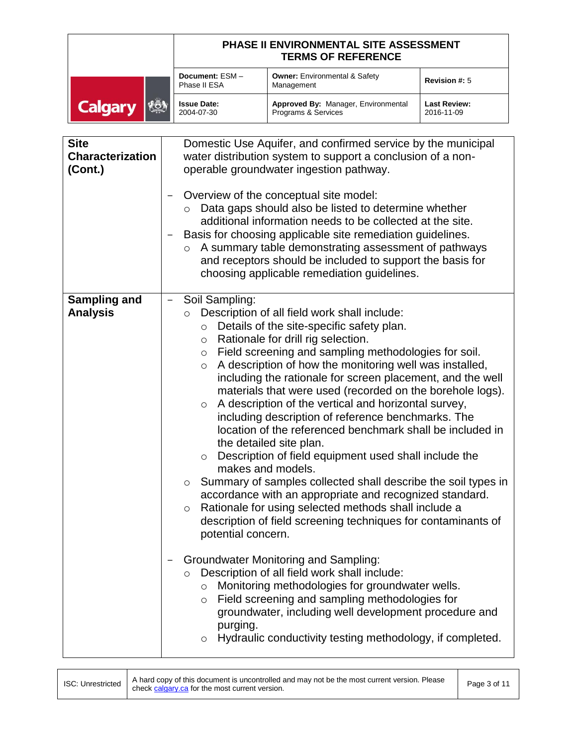|                              | PHASE II ENVIRONMENTAL SITE ASSESSMENT<br><b>TERMS OF REFERENCE</b> |                                                            |                                   |
|------------------------------|---------------------------------------------------------------------|------------------------------------------------------------|-----------------------------------|
|                              | Document: ESM-<br>Phase II ESA                                      | <b>Owner: Environmental &amp; Safety</b><br>Management     | Revision #: 5                     |
| <b>FOA</b><br><b>Calgary</b> | <b>Issue Date:</b><br>2004-07-30                                    | Approved By: Manager, Environmental<br>Programs & Services | <b>Last Review:</b><br>2016-11-09 |

| <b>Site</b><br><b>Characterization</b><br>(Cont.) | Domestic Use Aquifer, and confirmed service by the municipal<br>water distribution system to support a conclusion of a non-<br>operable groundwater ingestion pathway.<br>Overview of the conceptual site model:<br>Data gaps should also be listed to determine whether<br>additional information needs to be collected at the site.<br>Basis for choosing applicable site remediation guidelines.<br>A summary table demonstrating assessment of pathways<br>$\circ$<br>and receptors should be included to support the basis for<br>choosing applicable remediation guidelines.                                                                                                                                                                                                                                                                                                                                                                                                                                                                                                                                                                                                                                                                                                                                                                                                                                                            |  |
|---------------------------------------------------|-----------------------------------------------------------------------------------------------------------------------------------------------------------------------------------------------------------------------------------------------------------------------------------------------------------------------------------------------------------------------------------------------------------------------------------------------------------------------------------------------------------------------------------------------------------------------------------------------------------------------------------------------------------------------------------------------------------------------------------------------------------------------------------------------------------------------------------------------------------------------------------------------------------------------------------------------------------------------------------------------------------------------------------------------------------------------------------------------------------------------------------------------------------------------------------------------------------------------------------------------------------------------------------------------------------------------------------------------------------------------------------------------------------------------------------------------|--|
| <b>Sampling and</b><br><b>Analysis</b>            | Soil Sampling:<br>Description of all field work shall include:<br>$\circ$<br>Details of the site-specific safety plan.<br>$\circ$<br>Rationale for drill rig selection.<br>$\circ$<br>Field screening and sampling methodologies for soil.<br>$\circ$<br>A description of how the monitoring well was installed,<br>$\circ$<br>including the rationale for screen placement, and the well<br>materials that were used (recorded on the borehole logs).<br>A description of the vertical and horizontal survey,<br>$\circ$<br>including description of reference benchmarks. The<br>location of the referenced benchmark shall be included in<br>the detailed site plan.<br>Description of field equipment used shall include the<br>$\circ$<br>makes and models.<br>Summary of samples collected shall describe the soil types in<br>$\circ$<br>accordance with an appropriate and recognized standard.<br>Rationale for using selected methods shall include a<br>$\circ$<br>description of field screening techniques for contaminants of<br>potential concern.<br><b>Groundwater Monitoring and Sampling:</b><br>Description of all field work shall include:<br>$\circ$<br>Monitoring methodologies for groundwater wells.<br>$\circ$<br>Field screening and sampling methodologies for<br>$\circ$<br>groundwater, including well development procedure and<br>purging.<br>Hydraulic conductivity testing methodology, if completed.<br>O |  |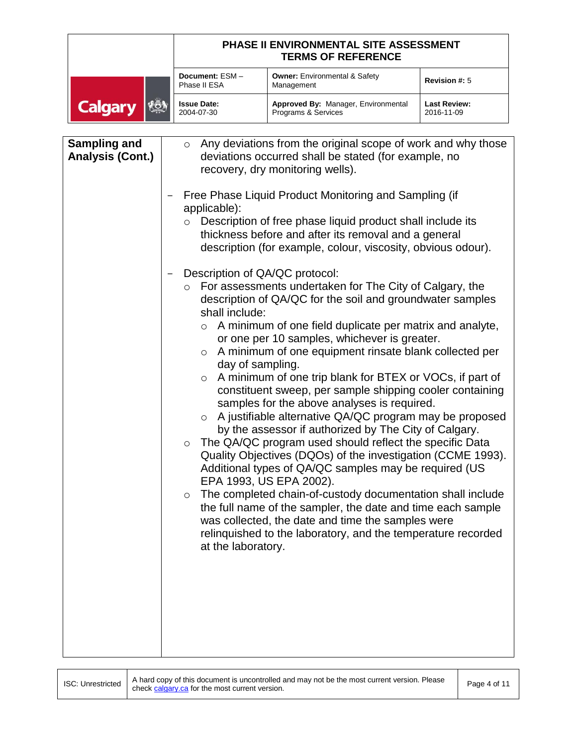|                               | PHASE II ENVIRONMENTAL SITE ASSESSMENT<br><b>TERMS OF REFERENCE</b> |                                                            |                                   |
|-------------------------------|---------------------------------------------------------------------|------------------------------------------------------------|-----------------------------------|
|                               | Document: ESM-<br>Phase II ESA                                      | <b>Owner: Environmental &amp; Safety</b><br>Management     | <b>Revision #: 5</b>              |
| <b>VESA</b><br><b>Calgary</b> | <b>Issue Date:</b><br>2004-07-30                                    | Approved By: Manager, Environmental<br>Programs & Services | <b>Last Review:</b><br>2016-11-09 |

| <b>Sampling and</b><br><b>Analysis (Cont.)</b> | $\circ$ Any deviations from the original scope of work and why those<br>deviations occurred shall be stated (for example, no<br>recovery, dry monitoring wells).                                                                                                                                                                                                                                                                                                                                                                                                                                                                                                                                                                                                                                                                                                                                                                                                                                                                                                                                                                                                                                                  |
|------------------------------------------------|-------------------------------------------------------------------------------------------------------------------------------------------------------------------------------------------------------------------------------------------------------------------------------------------------------------------------------------------------------------------------------------------------------------------------------------------------------------------------------------------------------------------------------------------------------------------------------------------------------------------------------------------------------------------------------------------------------------------------------------------------------------------------------------------------------------------------------------------------------------------------------------------------------------------------------------------------------------------------------------------------------------------------------------------------------------------------------------------------------------------------------------------------------------------------------------------------------------------|
|                                                | Free Phase Liquid Product Monitoring and Sampling (if<br>applicable):<br>Description of free phase liquid product shall include its<br>$\circ$<br>thickness before and after its removal and a general<br>description (for example, colour, viscosity, obvious odour).                                                                                                                                                                                                                                                                                                                                                                                                                                                                                                                                                                                                                                                                                                                                                                                                                                                                                                                                            |
|                                                | Description of QA/QC protocol:<br>○ For assessments undertaken for The City of Calgary, the<br>description of QA/QC for the soil and groundwater samples<br>shall include:<br>$\circ$ A minimum of one field duplicate per matrix and analyte,<br>or one per 10 samples, whichever is greater.<br>$\circ$ A minimum of one equipment rinsate blank collected per<br>day of sampling.<br>A minimum of one trip blank for BTEX or VOCs, if part of<br>$\circ$<br>constituent sweep, per sample shipping cooler containing<br>samples for the above analyses is required.<br>A justifiable alternative QA/QC program may be proposed<br>$\circ$<br>by the assessor if authorized by The City of Calgary.<br>The QA/QC program used should reflect the specific Data<br>$\circ$<br>Quality Objectives (DQOs) of the investigation (CCME 1993).<br>Additional types of QA/QC samples may be required (US<br>EPA 1993, US EPA 2002).<br>The completed chain-of-custody documentation shall include<br>$\circ$<br>the full name of the sampler, the date and time each sample<br>was collected, the date and time the samples were<br>relinguished to the laboratory, and the temperature recorded<br>at the laboratory. |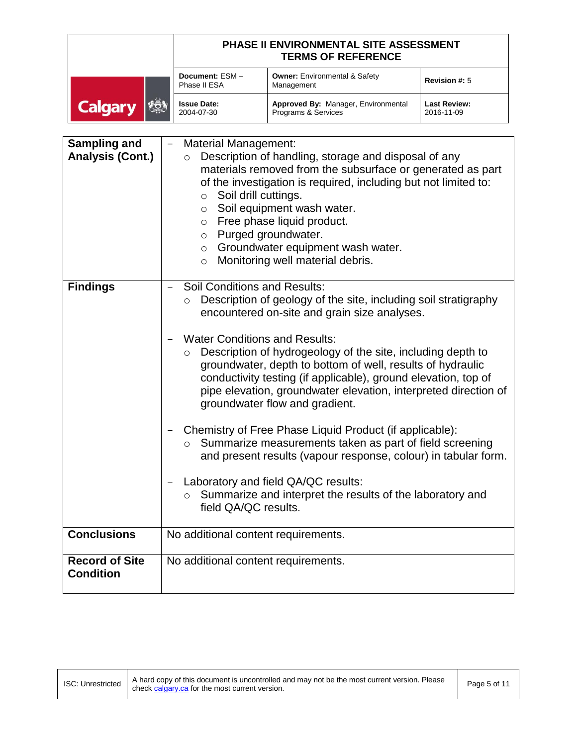|                              | PHASE II ENVIRONMENTAL SITE ASSESSMENT<br><b>TERMS OF REFERENCE</b> |                                                            |                                   |
|------------------------------|---------------------------------------------------------------------|------------------------------------------------------------|-----------------------------------|
|                              | Document: ESM-<br>Phase II ESA                                      | <b>Owner: Environmental &amp; Safety</b><br>Management     | <b>Revision #: 5</b>              |
| <b>REA</b><br><b>Calgary</b> | <b>Issue Date:</b><br>2004-07-30                                    | Approved By: Manager, Environmental<br>Programs & Services | <b>Last Review:</b><br>2016-11-09 |

| <b>Sampling and</b><br><b>Analysis (Cont.)</b> | <b>Material Management:</b><br>Description of handling, storage and disposal of any<br>$\circ$<br>materials removed from the subsurface or generated as part<br>of the investigation is required, including but not limited to:<br>Soil drill cuttings.<br>$\circ$<br>o Soil equipment wash water.<br>Free phase liquid product.<br>$\circ$<br>Purged groundwater.<br>$\circ$<br>o Groundwater equipment wash water.<br>Monitoring well material debris.<br>$\circ$                                                                                                                                                                                       |
|------------------------------------------------|-----------------------------------------------------------------------------------------------------------------------------------------------------------------------------------------------------------------------------------------------------------------------------------------------------------------------------------------------------------------------------------------------------------------------------------------------------------------------------------------------------------------------------------------------------------------------------------------------------------------------------------------------------------|
| <b>Findings</b>                                | <b>Soil Conditions and Results:</b><br>Description of geology of the site, including soil stratigraphy<br>$\circ$<br>encountered on-site and grain size analyses.<br><b>Water Conditions and Results:</b><br>Description of hydrogeology of the site, including depth to<br>$\circ$<br>groundwater, depth to bottom of well, results of hydraulic<br>conductivity testing (if applicable), ground elevation, top of<br>pipe elevation, groundwater elevation, interpreted direction of<br>groundwater flow and gradient.<br>Chemistry of Free Phase Liquid Product (if applicable):<br>Summarize measurements taken as part of field screening<br>$\circ$ |
|                                                | and present results (vapour response, colour) in tabular form.<br>Laboratory and field QA/QC results:<br>o Summarize and interpret the results of the laboratory and<br>field QA/QC results.                                                                                                                                                                                                                                                                                                                                                                                                                                                              |
| <b>Conclusions</b>                             | No additional content requirements.                                                                                                                                                                                                                                                                                                                                                                                                                                                                                                                                                                                                                       |
| <b>Record of Site</b><br><b>Condition</b>      | No additional content requirements.                                                                                                                                                                                                                                                                                                                                                                                                                                                                                                                                                                                                                       |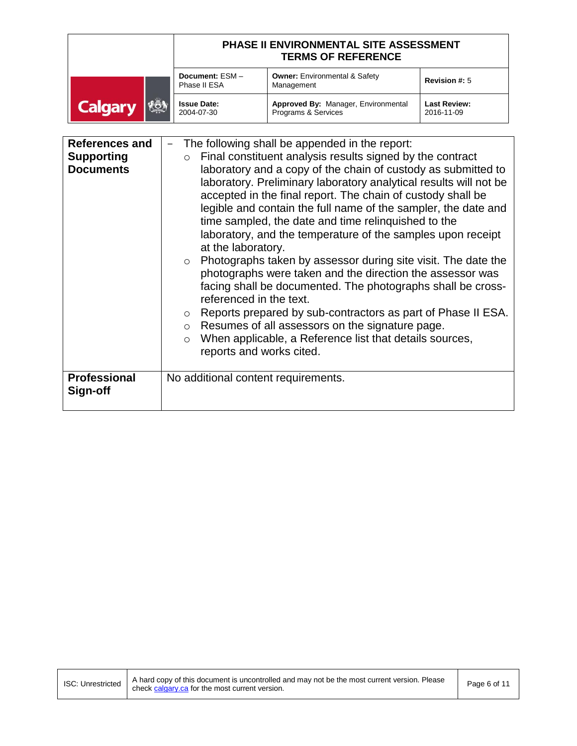|                       | PHASE II ENVIRONMENTAL SITE ASSESSMENT<br><b>TERMS OF REFERENCE</b> |                                                            |                                   |
|-----------------------|---------------------------------------------------------------------|------------------------------------------------------------|-----------------------------------|
|                       | Document: ESM-<br>Phase II ESA                                      | <b>Owner: Environmental &amp; Safety</b><br>Management     | Revision #: 5                     |
| KON<br><b>Calgary</b> | <b>Issue Date:</b><br>2004-07-30                                    | Approved By: Manager, Environmental<br>Programs & Services | <b>Last Review:</b><br>2016-11-09 |

| <b>References and</b> | The following shall be appended in the report:                                                                                                                                                                                                                                                                                                                                                                                                                                                                                                                                                                                                                                                                                                                                                                                                                                                |  |  |
|-----------------------|-----------------------------------------------------------------------------------------------------------------------------------------------------------------------------------------------------------------------------------------------------------------------------------------------------------------------------------------------------------------------------------------------------------------------------------------------------------------------------------------------------------------------------------------------------------------------------------------------------------------------------------------------------------------------------------------------------------------------------------------------------------------------------------------------------------------------------------------------------------------------------------------------|--|--|
| <b>Supporting</b>     | Final constituent analysis results signed by the contract<br>$\circ$                                                                                                                                                                                                                                                                                                                                                                                                                                                                                                                                                                                                                                                                                                                                                                                                                          |  |  |
| <b>Documents</b>      | laboratory and a copy of the chain of custody as submitted to<br>laboratory. Preliminary laboratory analytical results will not be<br>accepted in the final report. The chain of custody shall be<br>legible and contain the full name of the sampler, the date and<br>time sampled, the date and time relinguished to the<br>laboratory, and the temperature of the samples upon receipt<br>at the laboratory.<br>Photographs taken by assessor during site visit. The date the<br>$\circ$<br>photographs were taken and the direction the assessor was<br>facing shall be documented. The photographs shall be cross-<br>referenced in the text.<br>Reports prepared by sub-contractors as part of Phase II ESA.<br>$\circ$<br>Resumes of all assessors on the signature page.<br>$\circ$<br>When applicable, a Reference list that details sources,<br>$\circ$<br>reports and works cited. |  |  |
| <b>Professional</b>   | No additional content requirements.                                                                                                                                                                                                                                                                                                                                                                                                                                                                                                                                                                                                                                                                                                                                                                                                                                                           |  |  |
| Sign-off              |                                                                                                                                                                                                                                                                                                                                                                                                                                                                                                                                                                                                                                                                                                                                                                                                                                                                                               |  |  |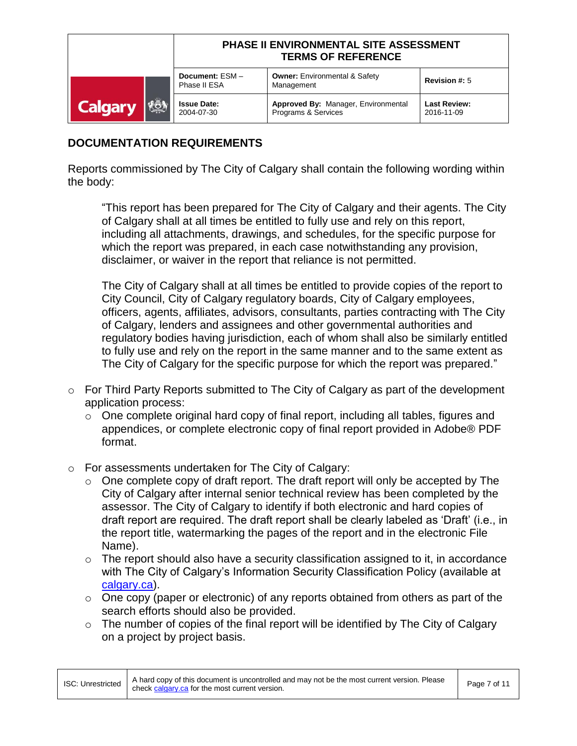|                       | PHASE II ENVIRONMENTAL SITE ASSESSMENT<br><b>TERMS OF REFERENCE</b> |                                                            |                                   |
|-----------------------|---------------------------------------------------------------------|------------------------------------------------------------|-----------------------------------|
|                       | Document: ESM-<br>Phase II ESA                                      | <b>Owner: Environmental &amp; Safety</b><br>Management     | <b>Revision #: 5</b>              |
| KÖN<br><b>Calgary</b> | <b>Issue Date:</b><br>2004-07-30                                    | Approved By: Manager, Environmental<br>Programs & Services | <b>Last Review:</b><br>2016-11-09 |

## **DOCUMENTATION REQUIREMENTS**

Reports commissioned by The City of Calgary shall contain the following wording within the body:

"This report has been prepared for The City of Calgary and their agents. The City of Calgary shall at all times be entitled to fully use and rely on this report, including all attachments, drawings, and schedules, for the specific purpose for which the report was prepared, in each case notwithstanding any provision, disclaimer, or waiver in the report that reliance is not permitted.

The City of Calgary shall at all times be entitled to provide copies of the report to City Council, City of Calgary regulatory boards, City of Calgary employees, officers, agents, affiliates, advisors, consultants, parties contracting with The City of Calgary, lenders and assignees and other governmental authorities and regulatory bodies having jurisdiction, each of whom shall also be similarly entitled to fully use and rely on the report in the same manner and to the same extent as The City of Calgary for the specific purpose for which the report was prepared."

- $\circ$  For Third Party Reports submitted to The City of Calgary as part of the development application process:
	- $\circ$  One complete original hard copy of final report, including all tables, figures and appendices, or complete electronic copy of final report provided in Adobe® PDF format.
- o For assessments undertaken for The City of Calgary:
	- $\circ$  One complete copy of draft report. The draft report will only be accepted by The City of Calgary after internal senior technical review has been completed by the assessor. The City of Calgary to identify if both electronic and hard copies of draft report are required. The draft report shall be clearly labeled as 'Draft' (i.e., in the report title, watermarking the pages of the report and in the electronic File Name).
	- $\circ$  The report should also have a security classification assigned to it, in accordance with The City of Calgary's Information Security Classification Policy (available at [calgary.ca\)](http://www.calgary.ca/).
	- $\circ$  One copy (paper or electronic) of any reports obtained from others as part of the search efforts should also be provided.
	- $\circ$  The number of copies of the final report will be identified by The City of Calgary on a project by project basis.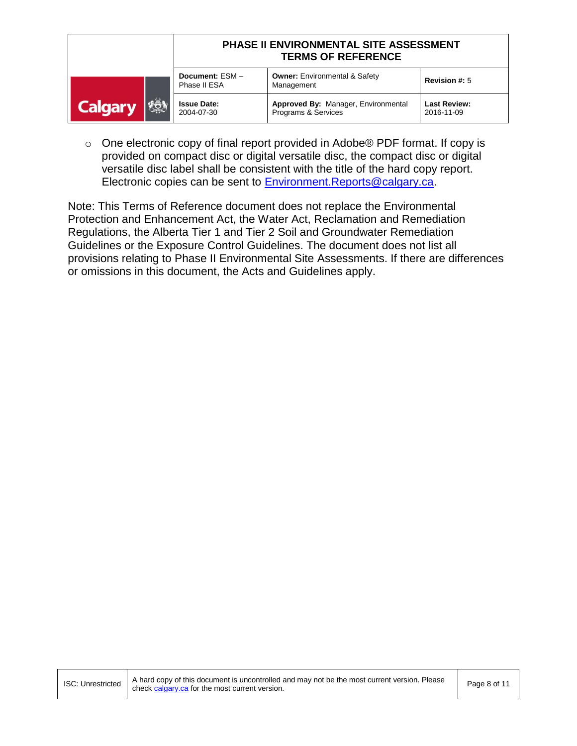|                              | PHASE II ENVIRONMENTAL SITE ASSESSMENT<br><b>TERMS OF REFERENCE</b> |                                                            |                                   |
|------------------------------|---------------------------------------------------------------------|------------------------------------------------------------|-----------------------------------|
|                              | Document: ESM-<br>Phase II ESA                                      | <b>Owner: Environmental &amp; Safety</b><br>Management     | <b>Revision #: 5</b>              |
| <b>FÖA</b><br><b>Calgary</b> | <b>Issue Date:</b><br>2004-07-30                                    | Approved By: Manager, Environmental<br>Programs & Services | <b>Last Review:</b><br>2016-11-09 |

o One electronic copy of final report provided in Adobe® PDF format. If copy is provided on compact disc or digital versatile disc, the compact disc or digital versatile disc label shall be consistent with the title of the hard copy report. Electronic copies can be sent to **Environment.Reports@calgary.ca.** 

Note: This Terms of Reference document does not replace the Environmental Protection and Enhancement Act, the Water Act, Reclamation and Remediation Regulations, the Alberta Tier 1 and Tier 2 Soil and Groundwater Remediation Guidelines or the Exposure Control Guidelines. The document does not list all provisions relating to Phase II Environmental Site Assessments. If there are differences or omissions in this document, the Acts and Guidelines apply.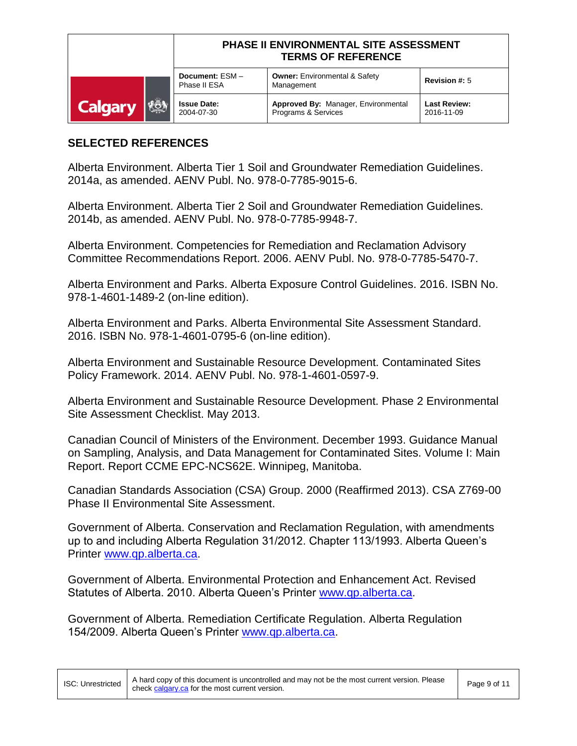|                                | PHASE II ENVIRONMENTAL SITE ASSESSMENT<br><b>TERMS OF REFERENCE</b> |                                                            |                                   |
|--------------------------------|---------------------------------------------------------------------|------------------------------------------------------------|-----------------------------------|
|                                | Document: ESM-<br>Phase II ESA                                      | <b>Owner: Environmental &amp; Safety</b><br>Management     | <b>Revision #: 5</b>              |
| <b>I</b> vot<br><b>Calgary</b> | <b>Issue Date:</b><br>2004-07-30                                    | Approved By: Manager, Environmental<br>Programs & Services | <b>Last Review:</b><br>2016-11-09 |

## **SELECTED REFERENCES**

Alberta Environment. Alberta Tier 1 Soil and Groundwater Remediation Guidelines. 2014a, as amended. AENV Publ. No. 978-0-7785-9015-6.

Alberta Environment. Alberta Tier 2 Soil and Groundwater Remediation Guidelines. 2014b, as amended. AENV Publ. No. 978-0-7785-9948-7.

Alberta Environment. Competencies for Remediation and Reclamation Advisory Committee Recommendations Report. 2006. AENV Publ. No. 978-0-7785-5470-7.

Alberta Environment and Parks. Alberta Exposure Control Guidelines. 2016. ISBN No. 978-1-4601-1489-2 (on-line edition).

Alberta Environment and Parks. Alberta Environmental Site Assessment Standard. 2016. ISBN No. 978-1-4601-0795-6 (on-line edition).

Alberta Environment and Sustainable Resource Development. Contaminated Sites Policy Framework. 2014. AENV Publ. No. 978-1-4601-0597-9.

Alberta Environment and Sustainable Resource Development. Phase 2 Environmental Site Assessment Checklist. May 2013.

Canadian Council of Ministers of the Environment. December 1993. Guidance Manual on Sampling, Analysis, and Data Management for Contaminated Sites. Volume I: Main Report. Report CCME EPC-NCS62E. Winnipeg, Manitoba.

Canadian Standards Association (CSA) Group. 2000 (Reaffirmed 2013). CSA Z769-00 Phase II Environmental Site Assessment.

Government of Alberta. Conservation and Reclamation Regulation, with amendments up to and including Alberta Regulation 31/2012. Chapter 113/1993. Alberta Queen's Printer [www.qp.alberta.ca.](http://www.qp.alberta.ca/)

Government of Alberta. Environmental Protection and Enhancement Act. Revised Statutes of Alberta. 2010. Alberta Queen's Printer [www.qp.alberta.ca.](http://www.qp.alberta.ca/)

Government of Alberta. Remediation Certificate Regulation. Alberta Regulation 154/2009. Alberta Queen's Printer [www.qp.alberta.ca.](http://www.qp.alberta.ca/)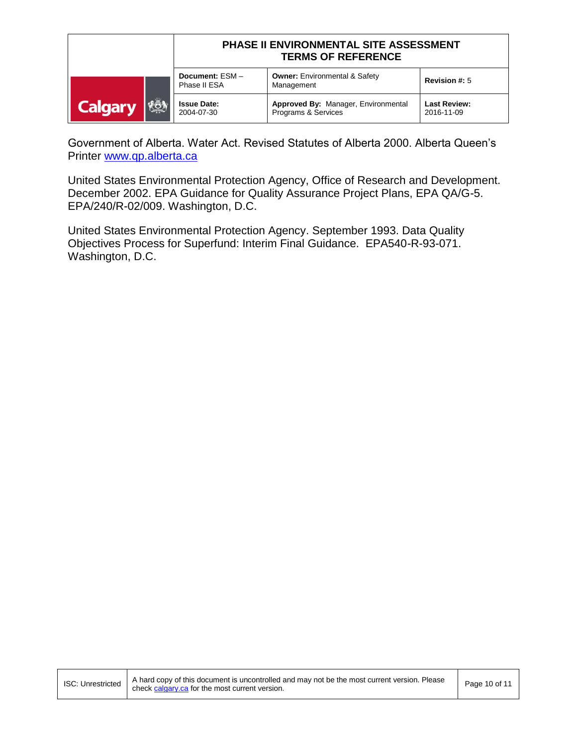|                       | PHASE II ENVIRONMENTAL SITE ASSESSMENT<br><b>TERMS OF REFERENCE</b> |                                                            |                                   |
|-----------------------|---------------------------------------------------------------------|------------------------------------------------------------|-----------------------------------|
|                       | Document: ESM-<br>Phase II ESA                                      | <b>Owner: Environmental &amp; Safety</b><br>Management     | <b>Revision #: 5</b>              |
| KÖN<br><b>Calgary</b> | <b>Issue Date:</b><br>2004-07-30                                    | Approved By: Manager, Environmental<br>Programs & Services | <b>Last Review:</b><br>2016-11-09 |

Government of Alberta. Water Act. Revised Statutes of Alberta 2000. Alberta Queen's Printer [www.qp.alberta.ca](http://www.qp.alberta.ca/)

United States Environmental Protection Agency, Office of Research and Development. December 2002. EPA Guidance for Quality Assurance Project Plans, EPA QA/G-5. EPA/240/R-02/009. Washington, D.C.

United States Environmental Protection Agency. September 1993. Data Quality Objectives Process for Superfund: Interim Final Guidance. EPA540-R-93-071. Washington, D.C.

ISC: Unrestricted A hard copy of this document is uncontrolled and may not be the most current version. Please Page 10 of 11